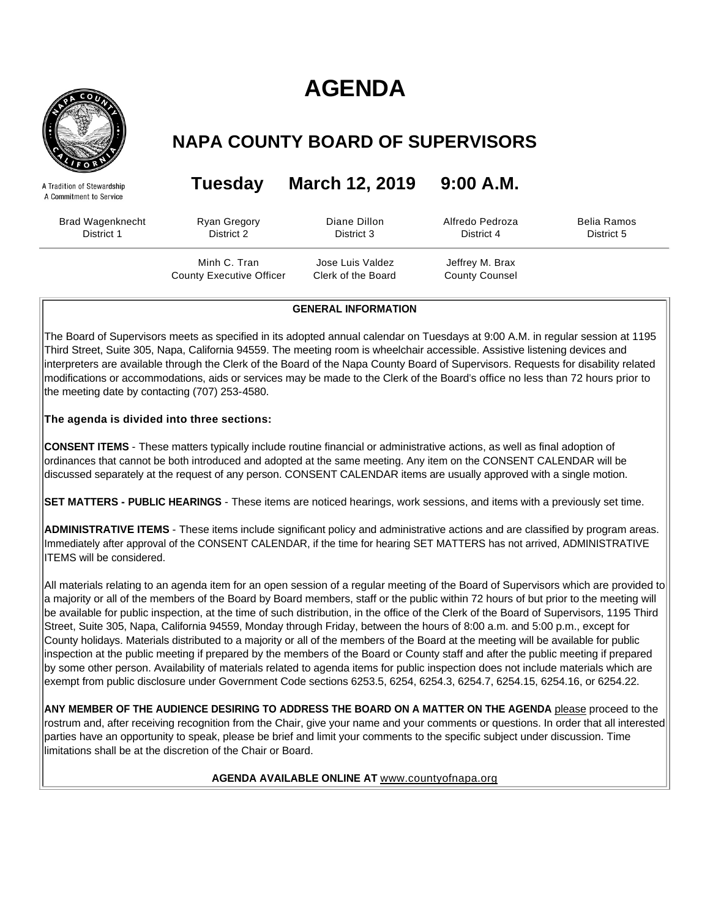# **AGENDA**



A Tradition of Stewardship A Commitment to Service

# **NAPA COUNTY BOARD OF SUPERVISORS**

**Tuesday March 12, 2019 9:00 A.M.**

Brad Wagenknecht District 1 Ryan Gregory District 2 Diane Dillon District 3

> Minh C. Tran County Executive Officer

Belia Ramos District 5

Jose Luis Valdez Clerk of the Board

Jeffrey M. Brax County Counsel

Alfredo Pedroza District 4

**GENERAL INFORMATION**

The Board of Supervisors meets as specified in its adopted annual calendar on Tuesdays at 9:00 A.M. in regular session at 1195 Third Street, Suite 305, Napa, California 94559. The meeting room is wheelchair accessible. Assistive listening devices and interpreters are available through the Clerk of the Board of the Napa County Board of Supervisors. Requests for disability related modifications or accommodations, aids or services may be made to the Clerk of the Board's office no less than 72 hours prior to the meeting date by contacting (707) 253-4580.

**The agenda is divided into three sections:**

**CONSENT ITEMS** - These matters typically include routine financial or administrative actions, as well as final adoption of ordinances that cannot be both introduced and adopted at the same meeting. Any item on the CONSENT CALENDAR will be discussed separately at the request of any person. CONSENT CALENDAR items are usually approved with a single motion.

**SET MATTERS - PUBLIC HEARINGS** - These items are noticed hearings, work sessions, and items with a previously set time.

**ADMINISTRATIVE ITEMS** - These items include significant policy and administrative actions and are classified by program areas. Immediately after approval of the CONSENT CALENDAR, if the time for hearing SET MATTERS has not arrived, ADMINISTRATIVE ITEMS will be considered.

All materials relating to an agenda item for an open session of a regular meeting of the Board of Supervisors which are provided to a majority or all of the members of the Board by Board members, staff or the public within 72 hours of but prior to the meeting will be available for public inspection, at the time of such distribution, in the office of the Clerk of the Board of Supervisors, 1195 Third Street, Suite 305, Napa, California 94559, Monday through Friday, between the hours of 8:00 a.m. and 5:00 p.m., except for County holidays. Materials distributed to a majority or all of the members of the Board at the meeting will be available for public inspection at the public meeting if prepared by the members of the Board or County staff and after the public meeting if prepared by some other person. Availability of materials related to agenda items for public inspection does not include materials which are exempt from public disclosure under Government Code sections 6253.5, 6254, 6254.3, 6254.7, 6254.15, 6254.16, or 6254.22.

**ANY MEMBER OF THE AUDIENCE DESIRING TO ADDRESS THE BOARD ON A MATTER ON THE AGENDA** please proceed to the rostrum and, after receiving recognition from the Chair, give your name and your comments or questions. In order that all interested parties have an opportunity to speak, please be brief and limit your comments to the specific subject under discussion. Time limitations shall be at the discretion of the Chair or Board.

# **AGENDA AVAILABLE ONLINE AT** www.countyofnapa.org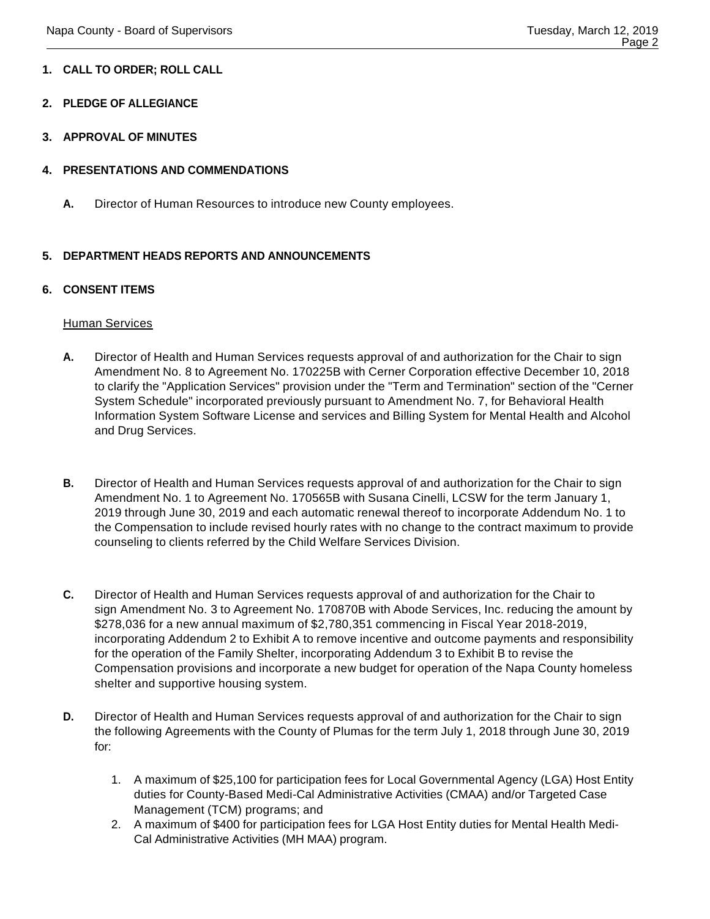# **1. CALL TO ORDER; ROLL CALL**

# **2. PLEDGE OF ALLEGIANCE**

**3. APPROVAL OF MINUTES**

# **4. PRESENTATIONS AND COMMENDATIONS**

**A.** Director of Human Resources to introduce new County employees.

# **5. DEPARTMENT HEADS REPORTS AND ANNOUNCEMENTS**

# **6. CONSENT ITEMS**

#### Human Services

- **A.** Director of Health and Human Services requests approval of and authorization for the Chair to sign Amendment No. 8 to Agreement No. 170225B with Cerner Corporation effective December 10, 2018 to clarify the "Application Services" provision under the "Term and Termination" section of the "Cerner System Schedule" incorporated previously pursuant to Amendment No. 7, for Behavioral Health Information System Software License and services and Billing System for Mental Health and Alcohol and Drug Services.
- **B.** Director of Health and Human Services requests approval of and authorization for the Chair to sign Amendment No. 1 to Agreement No. 170565B with Susana Cinelli, LCSW for the term January 1, 2019 through June 30, 2019 and each automatic renewal thereof to incorporate Addendum No. 1 to the Compensation to include revised hourly rates with no change to the contract maximum to provide counseling to clients referred by the Child Welfare Services Division.
- **C.** Director of Health and Human Services requests approval of and authorization for the Chair to sign Amendment No. 3 to Agreement No. 170870B with Abode Services, Inc. reducing the amount by \$278,036 for a new annual maximum of \$2,780,351 commencing in Fiscal Year 2018-2019, incorporating Addendum 2 to Exhibit A to remove incentive and outcome payments and responsibility for the operation of the Family Shelter, incorporating Addendum 3 to Exhibit B to revise the Compensation provisions and incorporate a new budget for operation of the Napa County homeless shelter and supportive housing system.
- **D.** Director of Health and Human Services requests approval of and authorization for the Chair to sign the following Agreements with the County of Plumas for the term July 1, 2018 through June 30, 2019 for:
	- 1. A maximum of \$25,100 for participation fees for Local Governmental Agency (LGA) Host Entity duties for County-Based Medi-Cal Administrative Activities (CMAA) and/or Targeted Case Management (TCM) programs; and
	- 2. A maximum of \$400 for participation fees for LGA Host Entity duties for Mental Health Medi-Cal Administrative Activities (MH MAA) program.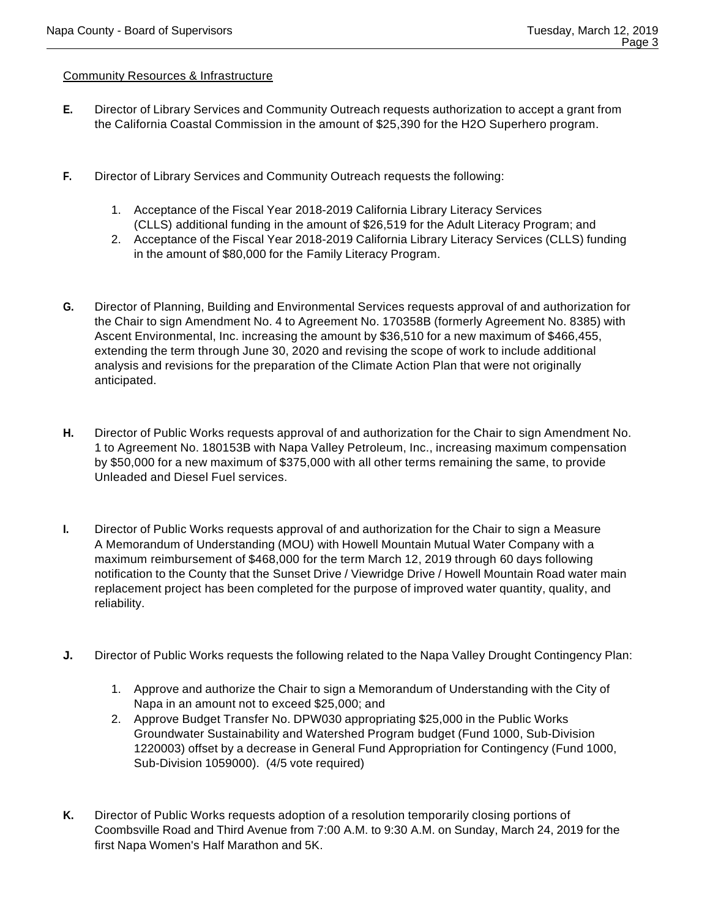# Community Resources & Infrastructure

- **E.** Director of Library Services and Community Outreach requests authorization to accept a grant from the California Coastal Commission in the amount of \$25,390 for the H2O Superhero program.
- **F.** Director of Library Services and Community Outreach requests the following:
	- 1. Acceptance of the Fiscal Year 2018-2019 California Library Literacy Services (CLLS) additional funding in the amount of \$26,519 for the Adult Literacy Program; and
	- 2. Acceptance of the Fiscal Year 2018-2019 California Library Literacy Services (CLLS) funding in the amount of \$80,000 for the Family Literacy Program.
- **G.** Director of Planning, Building and Environmental Services requests approval of and authorization for the Chair to sign Amendment No. 4 to Agreement No. 170358B (formerly Agreement No. 8385) with Ascent Environmental, Inc. increasing the amount by \$36,510 for a new maximum of \$466,455, extending the term through June 30, 2020 and revising the scope of work to include additional analysis and revisions for the preparation of the Climate Action Plan that were not originally anticipated.
- **H.** Director of Public Works requests approval of and authorization for the Chair to sign Amendment No. 1 to Agreement No. 180153B with Napa Valley Petroleum, Inc., increasing maximum compensation by \$50,000 for a new maximum of \$375,000 with all other terms remaining the same, to provide Unleaded and Diesel Fuel services.
- **I.** Director of Public Works requests approval of and authorization for the Chair to sign a Measure A Memorandum of Understanding (MOU) with Howell Mountain Mutual Water Company with a maximum reimbursement of \$468,000 for the term March 12, 2019 through 60 days following notification to the County that the Sunset Drive / Viewridge Drive / Howell Mountain Road water main replacement project has been completed for the purpose of improved water quantity, quality, and reliability.
- **J.** Director of Public Works requests the following related to the Napa Valley Drought Contingency Plan:
	- 1. Approve and authorize the Chair to sign a Memorandum of Understanding with the City of Napa in an amount not to exceed \$25,000; and
	- 2. Approve Budget Transfer No. DPW030 appropriating \$25,000 in the Public Works Groundwater Sustainability and Watershed Program budget (Fund 1000, Sub-Division 1220003) offset by a decrease in General Fund Appropriation for Contingency (Fund 1000, Sub-Division 1059000). (4/5 vote required)
- **K.** Director of Public Works requests adoption of a resolution temporarily closing portions of Coombsville Road and Third Avenue from 7:00 A.M. to 9:30 A.M. on Sunday, March 24, 2019 for the first Napa Women's Half Marathon and 5K.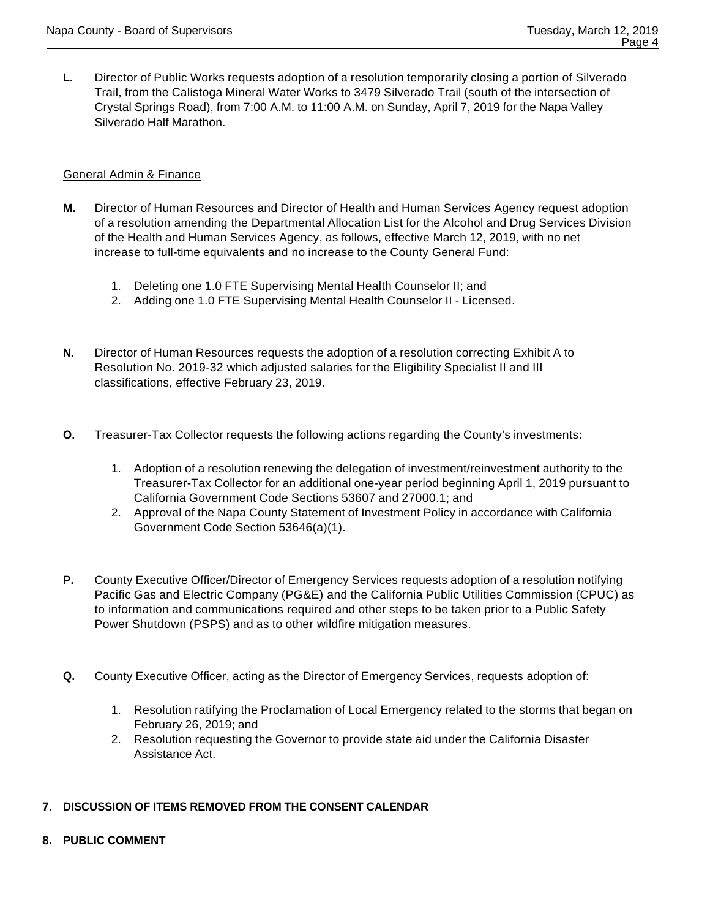**L.** Director of Public Works requests adoption of a resolution temporarily closing a portion of Silverado Trail, from the Calistoga Mineral Water Works to 3479 Silverado Trail (south of the intersection of Crystal Springs Road), from 7:00 A.M. to 11:00 A.M. on Sunday, April 7, 2019 for the Napa Valley Silverado Half Marathon.

# General Admin & Finance

- **M.** Director of Human Resources and Director of Health and Human Services Agency request adoption of a resolution amending the Departmental Allocation List for the Alcohol and Drug Services Division of the Health and Human Services Agency, as follows, effective March 12, 2019, with no net increase to full-time equivalents and no increase to the County General Fund:
	- 1. Deleting one 1.0 FTE Supervising Mental Health Counselor II; and
	- 2. Adding one 1.0 FTE Supervising Mental Health Counselor II Licensed.
- **N.** Director of Human Resources requests the adoption of a resolution correcting Exhibit A to Resolution No. 2019-32 which adjusted salaries for the Eligibility Specialist II and III classifications, effective February 23, 2019.
- **O.** Treasurer-Tax Collector requests the following actions regarding the County's investments:
	- 1. Adoption of a resolution renewing the delegation of investment/reinvestment authority to the Treasurer-Tax Collector for an additional one-year period beginning April 1, 2019 pursuant to California Government Code Sections 53607 and 27000.1; and
	- 2. Approval of the Napa County Statement of Investment Policy in accordance with California Government Code Section 53646(a)(1).
- **P.** County Executive Officer/Director of Emergency Services requests adoption of a resolution notifying Pacific Gas and Electric Company (PG&E) and the California Public Utilities Commission (CPUC) as to information and communications required and other steps to be taken prior to a Public Safety Power Shutdown (PSPS) and as to other wildfire mitigation measures.
- **Q.** County Executive Officer, acting as the Director of Emergency Services, requests adoption of:
	- 1. Resolution ratifying the Proclamation of Local Emergency related to the storms that began on February 26, 2019; and
	- 2. Resolution requesting the Governor to provide state aid under the California Disaster Assistance Act.

#### **7. DISCUSSION OF ITEMS REMOVED FROM THE CONSENT CALENDAR**

**8. PUBLIC COMMENT**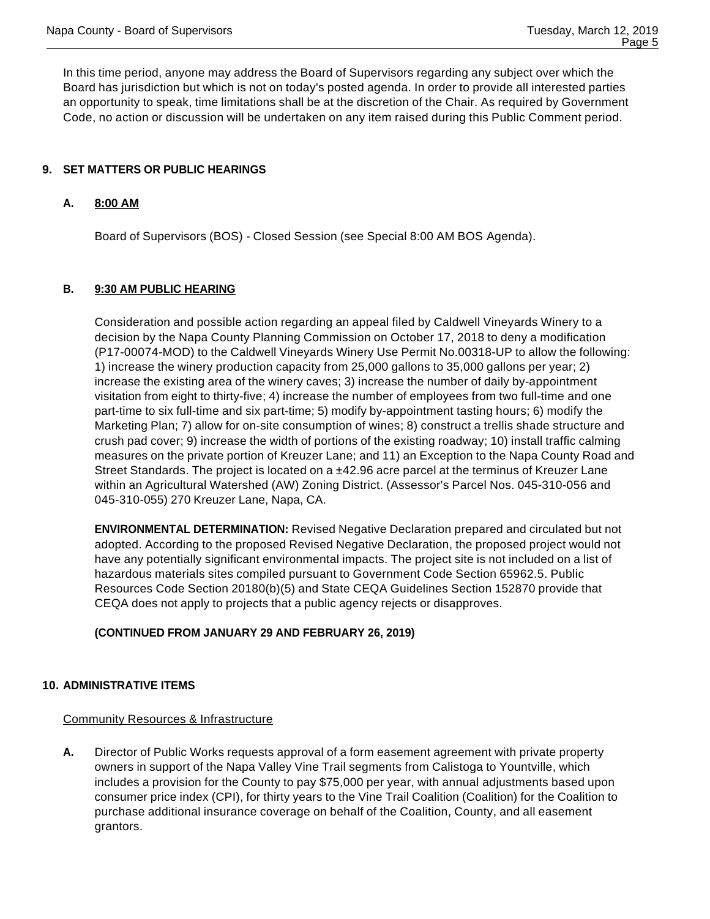In this time period, anyone may address the Board of Supervisors regarding any subject over which the Board has jurisdiction but which is not on today's posted agenda. In order to provide all interested parties an opportunity to speak, time limitations shall be at the discretion of the Chair. As required by Government Code, no action or discussion will be undertaken on any item raised during this Public Comment period.

# **9. SET MATTERS OR PUBLIC HEARINGS**

# **A. 8:00 AM**

Board of Supervisors (BOS) - Closed Session (see Special 8:00 AM BOS Agenda).

# **B. 9:30 AM PUBLIC HEARING**

Consideration and possible action regarding an appeal filed by Caldwell Vineyards Winery to a decision by the Napa County Planning Commission on October 17, 2018 to deny a modification (P17-00074-MOD) to the Caldwell Vineyards Winery Use Permit No.00318-UP to allow the following: 1) increase the winery production capacity from 25,000 gallons to 35,000 gallons per year; 2) increase the existing area of the winery caves; 3) increase the number of daily by-appointment visitation from eight to thirty-five; 4) increase the number of employees from two full-time and one part-time to six full-time and six part-time; 5) modify by-appointment tasting hours; 6) modify the Marketing Plan; 7) allow for on-site consumption of wines; 8) construct a trellis shade structure and crush pad cover; 9) increase the width of portions of the existing roadway; 10) install traffic calming measures on the private portion of Kreuzer Lane; and 11) an Exception to the Napa County Road and Street Standards. The project is located on a  $\pm$ 42.96 acre parcel at the terminus of Kreuzer Lane within an Agricultural Watershed (AW) Zoning District. (Assessor's Parcel Nos. 045-310-056 and 045-310-055) 270 Kreuzer Lane, Napa, CA.

**ENVIRONMENTAL DETERMINATION:** Revised Negative Declaration prepared and circulated but not adopted. According to the proposed Revised Negative Declaration, the proposed project would not have any potentially significant environmental impacts. The project site is not included on a list of hazardous materials sites compiled pursuant to Government Code Section 65962.5. Public Resources Code Section 20180(b)(5) and State CEQA Guidelines Section 152870 provide that CEQA does not apply to projects that a public agency rejects or disapproves.

#### **(CONTINUED FROM JANUARY 29 AND FEBRUARY 26, 2019)**

#### **10. ADMINISTRATIVE ITEMS**

#### Community Resources & Infrastructure

**A.** Director of Public Works requests approval of a form easement agreement with private property owners in support of the Napa Valley Vine Trail segments from Calistoga to Yountville, which includes a provision for the County to pay \$75,000 per year, with annual adjustments based upon consumer price index (CPI), for thirty years to the Vine Trail Coalition (Coalition) for the Coalition to purchase additional insurance coverage on behalf of the Coalition, County, and all easement grantors.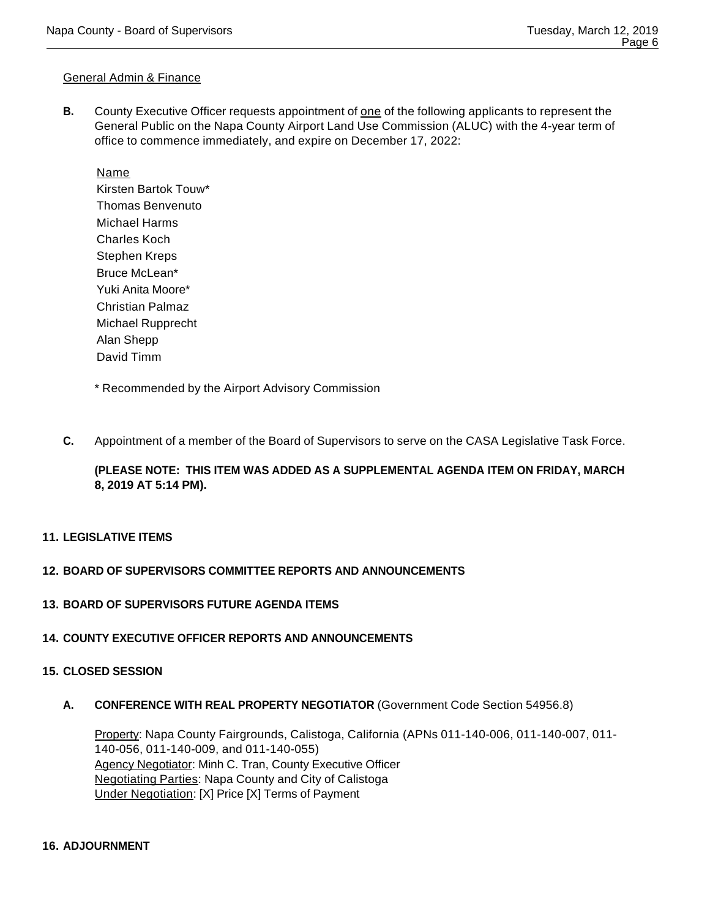#### General Admin & Finance

**B.** County Executive Officer requests appointment of <u>one</u> of the following applicants to represent the General Public on the Napa County Airport Land Use Commission (ALUC) with the 4-year term of office to commence immediately, and expire on December 17, 2022:

Name Kirsten Bartok Touw\* Thomas Benvenuto Michael Harms Charles Koch Stephen Kreps Bruce McLean\* Yuki Anita Moore\* Christian Palmaz Michael Rupprecht Alan Shepp David Timm

\* Recommended by the Airport Advisory Commission

**C.** Appointment of a member of the Board of Supervisors to serve on the CASA Legislative Task Force.

# **(PLEASE NOTE: THIS ITEM WAS ADDED AS A SUPPLEMENTAL AGENDA ITEM ON FRIDAY, MARCH 8, 2019 AT 5:14 PM).**

**11. LEGISLATIVE ITEMS**

#### **12. BOARD OF SUPERVISORS COMMITTEE REPORTS AND ANNOUNCEMENTS**

**13. BOARD OF SUPERVISORS FUTURE AGENDA ITEMS**

#### **14. COUNTY EXECUTIVE OFFICER REPORTS AND ANNOUNCEMENTS**

#### **15. CLOSED SESSION**

**A. CONFERENCE WITH REAL PROPERTY NEGOTIATOR** (Government Code Section 54956.8)

Property: Napa County Fairgrounds, Calistoga, California (APNs 011-140-006, 011-140-007, 011- 140-056, 011-140-009, and 011-140-055) Agency Negotiator: Minh C. Tran, County Executive Officer Negotiating Parties: Napa County and City of Calistoga Under Negotiation: [X] Price [X] Terms of Payment

#### **16. ADJOURNMENT**